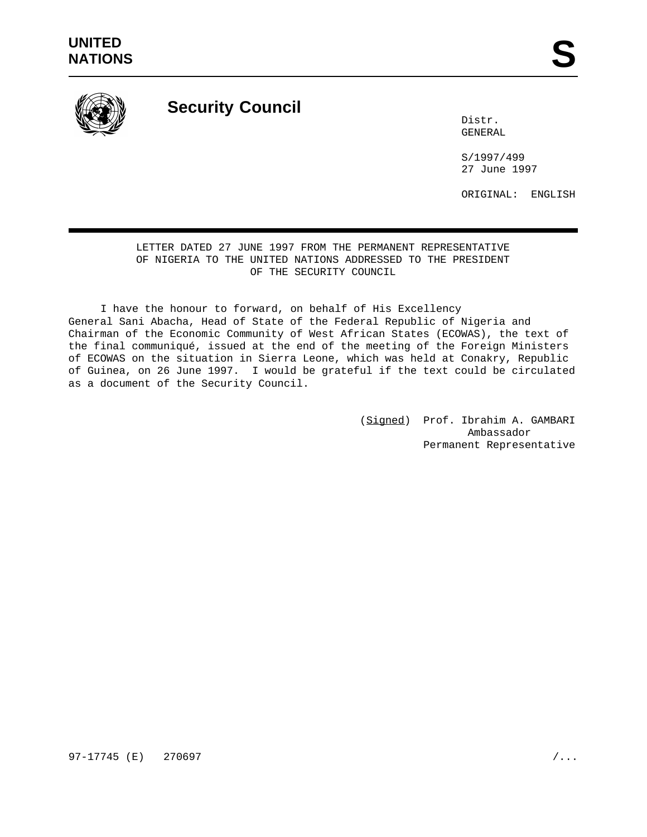

## **Security Council**

Distr. GENERAL

S/1997/499 27 June 1997

ORIGINAL: ENGLISH

LETTER DATED 27 JUNE 1997 FROM THE PERMANENT REPRESENTATIVE OF NIGERIA TO THE UNITED NATIONS ADDRESSED TO THE PRESIDENT OF THE SECURITY COUNCIL

I have the honour to forward, on behalf of His Excellency General Sani Abacha, Head of State of the Federal Republic of Nigeria and Chairman of the Economic Community of West African States (ECOWAS), the text of the final communiqué, issued at the end of the meeting of the Foreign Ministers of ECOWAS on the situation in Sierra Leone, which was held at Conakry, Republic of Guinea, on 26 June 1997. I would be grateful if the text could be circulated as a document of the Security Council.

> (Signed) Prof. Ibrahim A. GAMBARI Ambassador Permanent Representative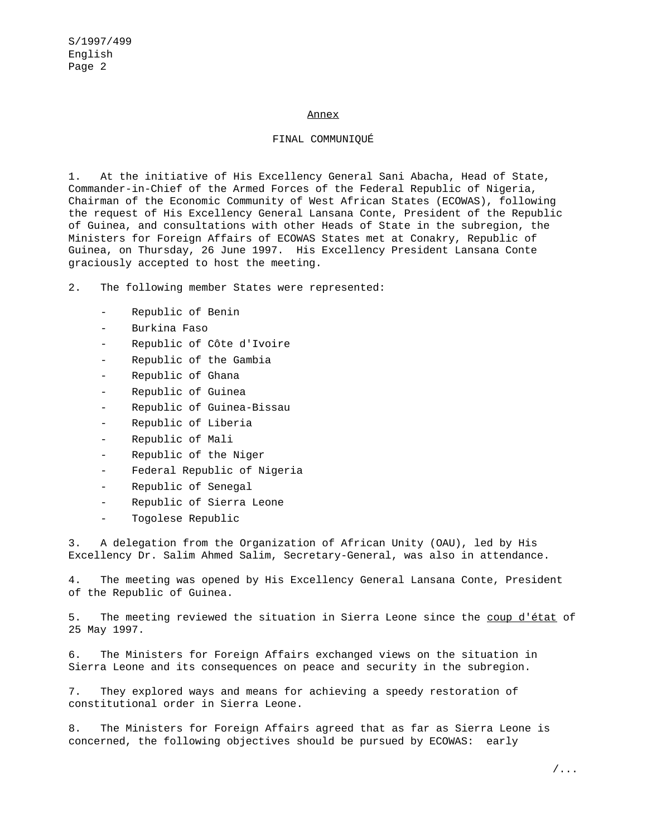## Annex

## FINAL COMMUNIQUÉ

1. At the initiative of His Excellency General Sani Abacha, Head of State, Commander-in-Chief of the Armed Forces of the Federal Republic of Nigeria, Chairman of the Economic Community of West African States (ECOWAS), following the request of His Excellency General Lansana Conte, President of the Republic of Guinea, and consultations with other Heads of State in the subregion, the Ministers for Foreign Affairs of ECOWAS States met at Conakry, Republic of Guinea, on Thursday, 26 June 1997. His Excellency President Lansana Conte graciously accepted to host the meeting.

2. The following member States were represented:

- Republic of Benin
- Burkina Faso
- Republic of Côte d'Ivoire
- Republic of the Gambia
- Republic of Ghana
- Republic of Guinea
- Republic of Guinea-Bissau
- Republic of Liberia
- Republic of Mali
- Republic of the Niger
- Federal Republic of Nigeria
- Republic of Senegal
- Republic of Sierra Leone
- Togolese Republic

3. A delegation from the Organization of African Unity (OAU), led by His Excellency Dr. Salim Ahmed Salim, Secretary-General, was also in attendance.

4. The meeting was opened by His Excellency General Lansana Conte, President of the Republic of Guinea.

5. The meeting reviewed the situation in Sierra Leone since the coup d'état of 25 May 1997.

6. The Ministers for Foreign Affairs exchanged views on the situation in Sierra Leone and its consequences on peace and security in the subregion.

7. They explored ways and means for achieving a speedy restoration of constitutional order in Sierra Leone.

8. The Ministers for Foreign Affairs agreed that as far as Sierra Leone is concerned, the following objectives should be pursued by ECOWAS: early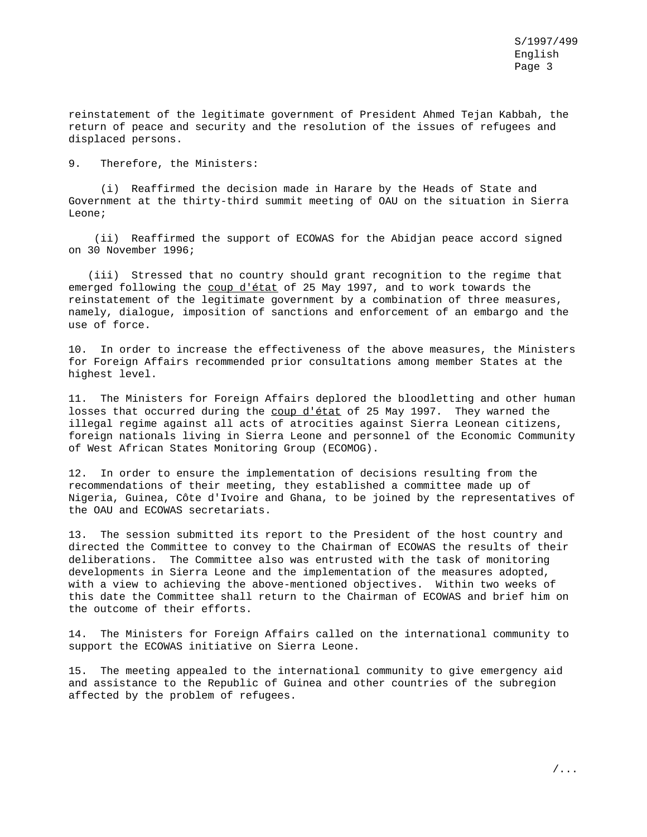reinstatement of the legitimate government of President Ahmed Tejan Kabbah, the return of peace and security and the resolution of the issues of refugees and displaced persons.

9. Therefore, the Ministers:

(i) Reaffirmed the decision made in Harare by the Heads of State and Government at the thirty-third summit meeting of OAU on the situation in Sierra Leone;

(ii) Reaffirmed the support of ECOWAS for the Abidjan peace accord signed on 30 November 1996;

(iii) Stressed that no country should grant recognition to the regime that emerged following the coup d'état of 25 May 1997, and to work towards the reinstatement of the legitimate government by a combination of three measures, namely, dialogue, imposition of sanctions and enforcement of an embargo and the use of force.

10. In order to increase the effectiveness of the above measures, the Ministers for Foreign Affairs recommended prior consultations among member States at the highest level.

11. The Ministers for Foreign Affairs deplored the bloodletting and other human losses that occurred during the coup d'état of 25 May 1997. They warned the illegal regime against all acts of atrocities against Sierra Leonean citizens, foreign nationals living in Sierra Leone and personnel of the Economic Community of West African States Monitoring Group (ECOMOG).

12. In order to ensure the implementation of decisions resulting from the recommendations of their meeting, they established a committee made up of Nigeria, Guinea, Côte d'Ivoire and Ghana, to be joined by the representatives of the OAU and ECOWAS secretariats.

13. The session submitted its report to the President of the host country and directed the Committee to convey to the Chairman of ECOWAS the results of their deliberations. The Committee also was entrusted with the task of monitoring developments in Sierra Leone and the implementation of the measures adopted, with a view to achieving the above-mentioned objectives. Within two weeks of this date the Committee shall return to the Chairman of ECOWAS and brief him on the outcome of their efforts.

14. The Ministers for Foreign Affairs called on the international community to support the ECOWAS initiative on Sierra Leone.

15. The meeting appealed to the international community to give emergency aid and assistance to the Republic of Guinea and other countries of the subregion affected by the problem of refugees.